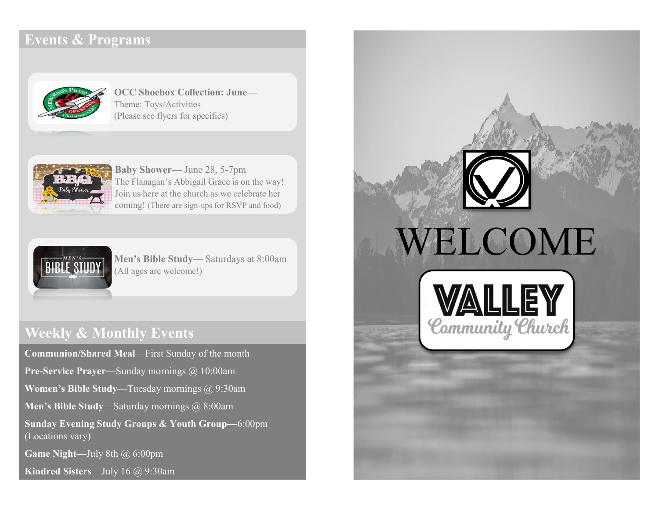# **Events & Programs**



**OCC Shoebox Collection: June—** Theme: Toys/Activities (Please see flyers for specifics)



**Baby Shower—** June 28, 5-7pm The Flanagan's Abbigail Grace is on the way! Join us here at the church as we celebrate her coming! (There are sign-ups for RSVP and food)



**Men's Bible Study—** Saturdays at 8:00am (All ages are welcome!)

# **Weekly & Monthly Events**

**Communion/Shared Meal**—First Sunday of the month **Pre-Service Prayer**—Sunday mornings @ 10:00am **Women's Bible Study**—Tuesday mornings @ 9:30am **Men's Bible Study**—Saturday mornings @ 8:00am **Sunday Evening Study Groups & Youth Group—**6:00pm (Locations vary) **Game Night—**July 8th @ 6:00pm

**Kindred Sisters**—July 16 @ 9:30am